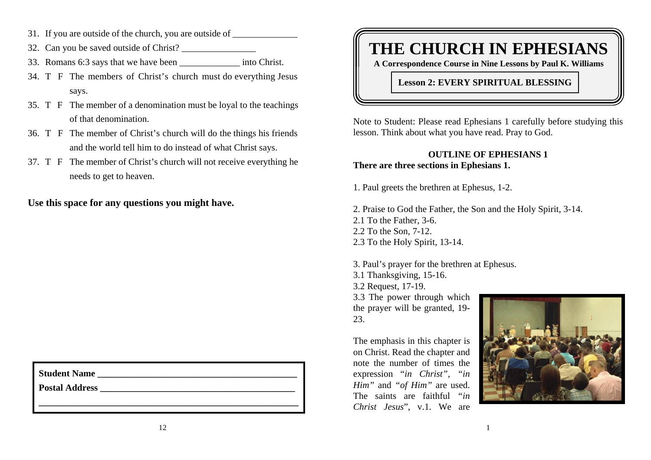- 31. If you are outside of the church, you are outside of
- 32. Can you be saved outside of Christ?
- 33. Romans 6:3 says that we have been \_\_\_\_\_\_\_\_\_\_\_\_\_ into Christ.
- 34. T F The members of Christ's church must do everything Jesus says.
- 35. T F The member of a denomination must be loyal to the teachings of that denomination.
- 36. T F The member of Christ's church will do the things his friends and the world tell him to do instead of what Christ says.
- 37. T F The member of Christ's church will not receive everything he needs to get to heaven.

**Use this space for any questions you might have.**

| <b>Student Name</b> |  |
|---------------------|--|
|                     |  |

Postal Address **and a set of the set of the set of the set of the set of the set of the set of the set of the set of the set of the set of the set of the set of the set of the set of the set of the set of the set of the se** 

# **THE CHURCH IN EPHESIANS**

**A Correspondence Course in Nine Lessons by Paul K. Williams**

**Lesson 2: EVERY SPIRITUAL BLESSING**

Note to Student: Please read Ephesians 1 carefully before studying this lesson. Think about what you have read. Pray to God.

# **OUTLINE OF EPHESIANS 1There are three sections in Ephesians 1.**

1. Paul greets the brethren at Ephesus, 1-2.

2. Praise to God the Father, the Son and the Holy Spirit, 3-14. 2.1 To the Father, 3-6. 2.2 To the Son, 7-12. 2.3 To the Holy Spirit, 13-14.

3. Paul's prayer for the brethren at Ephesus. 3.1 Thanksgiving, 15-16. 3.2 Request, 17-19. 3.3 The power through which the prayer will be granted, 19- 23.

The emphasis in this chapter is on Christ. Read the chapter and note the number of times theexpression "*in Christ", "in Him"* and *"of Him"* are used. The saints are faithful *"in Christ Jesus*", v.1. We are

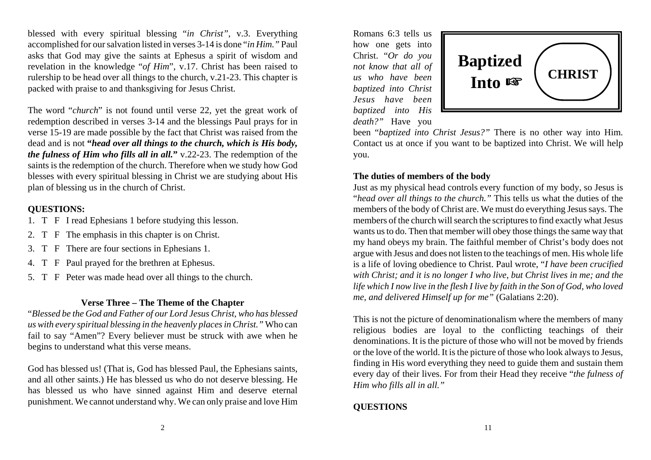blessed with every spiritual blessing "*in Christ"*, v.3. Everything accomplished for our salvation listed in verses 3-14 is done "*in Him."* Paul asks that God may give the saints at Ephesus a spirit of wisdom and revelation in the knowledge "*of Him*", v.17. Christ has been raised to rulership to be head over all things to the church, v.21-23. This chapter is packed with praise to and thanksgiving for Jesus Christ.

The word "*church*" is not found until verse 22, yet the great work of redemption described in verses 3-14 and the blessings Paul prays for in verse 15-19 are made possible by the fact that Christ was raised from the dead and is not **"***head over all things to the church, which is His body, the fulness of Him who fills all in all.* **"** v.22-23. The redemption of the saints is the redemption of the church. Therefore when we study how God blesses with every spiritual blessing in Christ we are studying about His plan of blessing us in the church of Christ.

#### **QUESTIONS:**

- 1. T F I read Ephesians 1 before studying this lesson.
- 2. T F The emphasis in this chapter is on Christ.
- 3. T F There are four sections in Ephesians 1.
- 4. T F Paul prayed for the brethren at Ephesus.
- 5. T F Peter was made head over all things to the church.

#### **Verse Three – The Theme of the Chapter**

"*Blessed be the God and Father of our Lord Jesus Christ, who has blessed us with every spiritual blessing in the heavenly places in Christ."* Who can fail to say "Amen"? Every believer must be struck with awe when he begins to understand what this verse means.

God has blessed us! (That is, God has blessed Paul, the Ephesians saints, and all other saints.) He has blessed us who do not deserve blessing. He has blessed us who have sinned against Him and deserve eternal punishment. We cannot understand why. We can only praise and love Him

Romans 6:3 tells ushow one gets into Christ. "*Or do you not know that all of us who have beenbaptized into Christ Jesus have beenbaptized into His death?"* Have you



been "*baptized into Christ Jesus?"* There is no other way into Him. Contact us at once if you want to be baptized into Christ. We will help you.

#### **The duties of members of the body**

Just as my physical head controls every function of my body, so Jesus is "*head over all things to the church."* This tells us what the duties of the members of the body of Christ are. We must do everything Jesus says. The members of the church will search the scriptures to find exactly what Jesus wants us to do. Then that member will obey those things the same way that my hand obeys my brain. The faithful member of Christ's body does not argue with Jesus and does not listen to the teachings of men. His whole life is a life of loving obedience to Christ. Paul wrote, "*I have been crucified with Christ; and it is no longer I who live, but Christ lives in me; and the life which I now live in the flesh I live by faith in the Son of God, who loved me, and delivered Himself up for me"* (Galatians 2:20).

This is not the picture of denominationalism where the members of many religious bodies are loyal to the conflicting teachings of their denominations. It is the picture of those who will not be moved by friends or the love of the world. It is the picture of those who look always to Jesus, finding in His word everything they need to guide them and sustain them every day of their lives. For from their Head they receive "*the fulness of Him who fills all in all."*

# **QUESTIONS**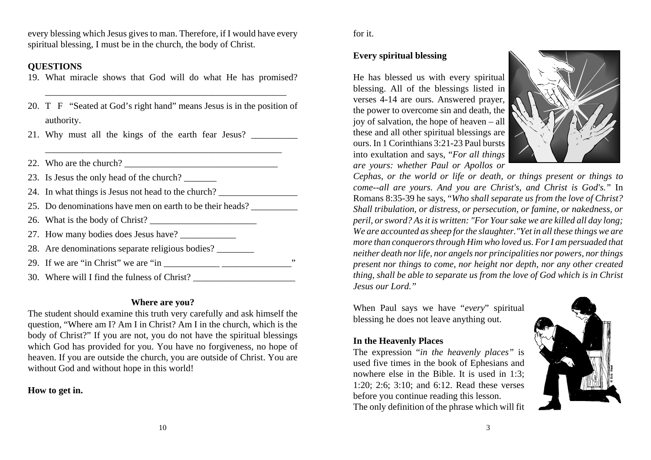every blessing which Jesus gives to man. Therefore, if I would have every spiritual blessing, I must be in the church, the body of Christ.

### **QUESTIONS**

- 19. What miracle shows that God will do what He has promised?
- 20. T F "Seated at God's right hand" means Jesus is in the position of authority.
- 21. Why must all the kings of the earth fear Jesus?
- 22. Who are the church?  $\frac{1}{2}$  and  $\frac{1}{2}$  and  $\frac{1}{2}$  are the church?
- 23. Is Jesus the only head of the church?
- 24. In what things is Jesus not head to the church?
- 25. Do denominations have men on earth to be their heads?
- 26. What is the body of Christ?
- 27. How many bodies does Jesus have?
- 28. Are denominations separate religious bodies? \_\_\_\_\_\_\_\_
- 29. If we are "in Christ" we are "in  $\Box$
- 30. Where will I find the fulness of Christ?

# **Where are you?**

The student should examine this truth very carefully and ask himself the question, "Where am I? Am I in Christ? Am I in the church, which is the body of Christ?" If you are not, you do not have the spiritual blessings which God has provided for you. You have no forgiveness, no hope of heaven. If you are outside the church, you are outside of Christ. You are without God and without hope in this world!

# **How to get in.**

for it.

# **Every spiritual blessing**

He has blessed us with every spiritual blessing. All of the blessings listed in verses 4-14 are ours. Answered prayer, the power to overcome sin and death, the joy of salvation, the hope of heaven – all these and all other spiritual blessings are ours. In 1 Corinthians 3:21-23 Paul bursts into exultation and says, "*For all things are yours: whether Paul or Apollos or*



*Cephas, or the world or life or death, or things present or things to come--all are yours. And you are Christ's, and Christ is God's."* In Romans 8:35-39 he says, "*Who shall separate us from the love of Christ? Shall tribulation, or distress, or persecution, or famine, or nakedness, or peril, or sword? As it is written: "For Your sake we are killed all day long; We are accounted as sheep for the slaughter."Yet in all these things we are more than conquerors through Him who loved us. For I am persuaded that neither death nor life, nor angels nor principalities nor powers, nor things present nor things to come, nor height nor depth, nor any other created thing, shall be able to separate us from the love of God which is in Christ Jesus our Lord."*

When Paul says we have "*every*" spiritual blessing he does not leave anything out.

# **In the Heavenly Places**

The expression "*in the heavenly places"* is used five times in the book of Ephesians and nowhere else in the Bible. It is used in 1:3; 1:20; 2:6; 3:10; and 6:12. Read these verses before you continue reading this lesson. The only definition of the phrase which will fit

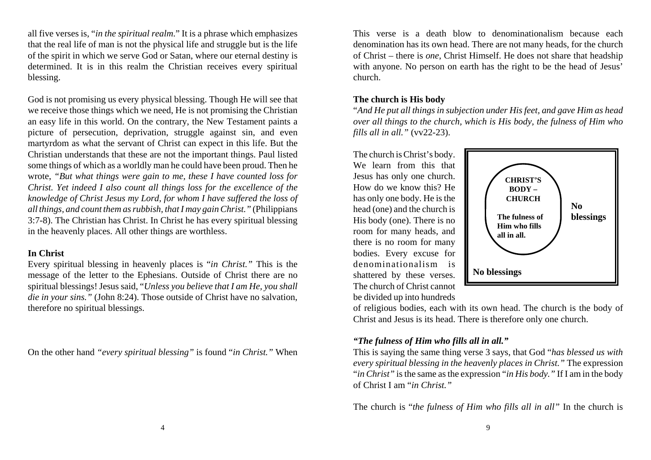all five verses is, "*in the spiritual realm*." It is a phrase which emphasizes that the real life of man is not the physical life and struggle but is the life of the spirit in which we serve God or Satan, where our eternal destiny is determined. It is in this realm the Christian receives every spiritual blessing.

God is not promising us every physical blessing. Though He will see that we receive those things which we need, He is not promising the Christian an easy life in this world. On the contrary, the New Testament paints a picture of persecution, deprivation, struggle against sin, and even martyrdom as what the servant of Christ can expect in this life. But the Christian understands that these are not the important things. Paul listed some things of which as a worldly man he could have been proud. Then he wrote, *"But what things were gain to me, these I have counted loss for Christ. Yet indeed I also count all things loss for the excellence of the knowledge of Christ Jesus my Lord, for whom I have suffered the loss of all things, and count them as rubbish, that I may gain Christ."* (Philippians 3:7-8). The Christian has Christ. In Christ he has every spiritual blessing in the heavenly places. All other things are worthless.

#### **In Christ**

Every spiritual blessing in heavenly places is "*in Christ."* This is the message of the letter to the Ephesians. Outside of Christ there are no spiritual blessings! Jesus said, "*Unless you believe that I am He, you shall die in your sins."* (John 8:24). Those outside of Christ have no salvation, therefore no spiritual blessings.

On the other hand *"every spiritual blessing"* is found "*in Christ."* When

This verse is a death blow to denominationalism because eachdenomination has its own head. There are not many heads, for the church of Christ – there is *one*, Christ Himself. He does not share that headship with anyone. No person on earth has the right to be the head of Jesus' church.

#### **The church is His body**

"*And He put all things in subjection under His feet, and gave Him as head over all things to the church, which is His body, the fulness of Him who fills all in all."* (vv22-23).

The church is Christ's body. We learn from this that Jesus has only one church. How do we know this? Hehas only one body. He is the head (one) and the church is His body (one). There is no room for many heads, and there is no room for many bodies. Every excuse for denominationalism is shattered by these verses. The church of Christ cannot be divided up into hundreds



of religious bodies, each with its own head. The church is the body of Christ and Jesus is its head. There is therefore only one church.

# *"The fulness of Him who fills all in all."*

This is saying the same thing verse 3 says, that God "*has blessed us with every spiritual blessing in the heavenly places in Christ."* The expression "*in Christ"* is the same as the expression "*in His body."* If I am in the body of Christ I am "*in Christ."*

The church is "*the fulness of Him who fills all in all"* In the church is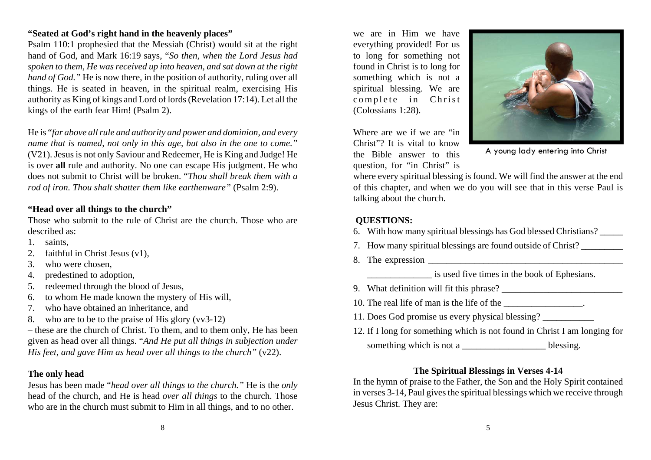#### **"Seated at God's right hand in the heavenly places"**

Psalm 110:1 prophesied that the Messiah (Christ) would sit at the right hand of God, and Mark 16:19 says, "*So then, when the Lord Jesus had spoken to them, He was received up into heaven, and sat down at the right hand of God.*" He is now there, in the position of authority, ruling over all things. He is seated in heaven, in the spiritual realm, exercising His authority as King of kings and Lord of lords (Revelation 17:14). Let all the kings of the earth fear Him! (Psalm 2).

He is "*far above all rule and authority and power and dominion, and every name that is named, not only in this age, but also in the one to come."* (V21). Jesus is not only Saviour and Redeemer, He is King and Judge! He is over **all** rule and authority. No one can escape His judgment. He who does not submit to Christ will be broken. "*Thou shall break them with arod of iron. Thou shalt shatter them like earthenware"* (Psalm 2:9).

#### **"Head over all things to the church"**

Those who submit to the rule of Christ are the church. Those who aredescribed as:

- 1. saints,
- 2. faithful in Christ Jesus (v1),
- 3. who were chosen,
- 4. predestined to adoption,
- 5. redeemed through the blood of Jesus,
- 6. to whom He made known the mystery of His will,
- 7. who have obtained an inheritance, and
- 8. who are to be to the praise of His glory (vv3-12)

– these are the church of Christ. To them, and to them only, He has been given as head over all things. "*And He put all things in subjection under His feet, and gave Him as head over all things to the church"* (v22).

# **The only head**

Jesus has been made "*head over all things to the church."* He is the *only* head of the church, and He is head *over all things* to the church. Those who are in the church must submit to Him in all things, and to no other.

we are in Him we haveeverything provided! For us to long for something not found in Christ is to long for something which is not a spiritual blessing. We are complete in Christ (Colossians 1:28).

Where are we if we are "inChrist"? It is vital to knowthe Bible answer to thisquestion, for "in Christ" is



A young lady entering into Christ

where every spiritual blessing is found. We will find the answer at the end of this chapter, and when we do you will see that in this verse Paul is talking about the church.

# **QUESTIONS:**

- 6. With how many spiritual blessings has God blessed Christians? \_\_\_\_\_
- 7. How many spiritual blessings are found outside of Christ?
- 8. The expression

is used five times in the book of Ephesians.

- 9. What definition will fit this phrase? \_\_\_\_\_\_\_\_\_\_\_\_\_\_\_\_\_\_\_\_\_\_\_\_\_\_
- 10. The real life of man is the life of the  $\blacksquare$ .
- 11. Does God promise us every physical blessing? \_\_\_\_\_\_\_\_\_\_\_
- 12. If I long for something which is not found in Christ I am longing for something which is not a \_\_\_\_\_\_\_\_\_\_\_\_\_\_\_\_\_\_\_\_\_\_\_ blessing.

# **The Spiritual Blessings in Verses 4-14**

In the hymn of praise to the Father, the Son and the Holy Spirit contained in verses 3-14, Paul gives the spiritual blessings which we receive through Jesus Christ. They are: